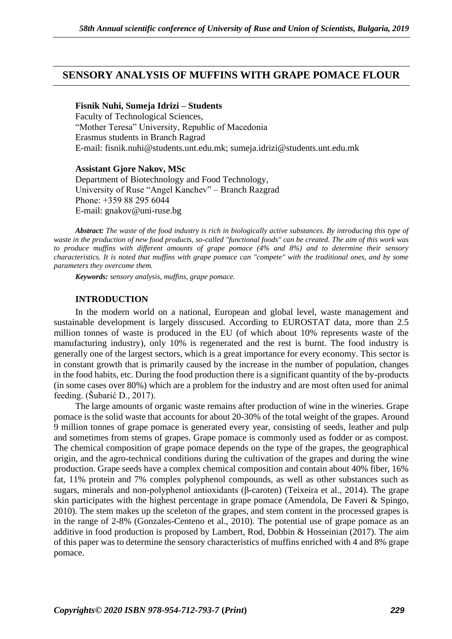# **SENSORY ANALYSIS OF MUFFINS WITH GRAPE POMACE FLOUR**

#### **Fisnik Nuhi, Sumeja Idrizi – Students**

Faculty of Technological Sciences, "Mother Teresa" University, Republic of Macedonia Erasmus students in Branch Ragrad E-mail: fisnik.nuhi@students.unt.edu.mk; sumeja.idrizi@students.unt.edu.mk

**Assistant Gjore Nakov, MSc** 

Department of Biotechnology and Food Technology, University of Ruse "Angel Kanchev" – Branch Razgrad Рhone: +359 88 295 6044 Е-mail: gnakov@uni-ruse.bg

*Abstract: The waste of the food industry is rich in biologically active substances. By introducing this type of waste in the production of new food products, so-called "functional foods" can be created. The aim of this work was to produce muffins with different amounts of grape pomace (4% and 8%) and to determine their sensory characteristics. It is noted that muffins with grape pomace can "compete" with the traditional ones, and by some parameters they overcome them.*

*Keywords: sensory analysis, muffins, grape pomace.*

#### **INTRODUCTION**

In the modern world on a national, European and global level, waste management and sustainable development is largely disscused. According to EUROSTAT data, more than 2.5 million tonnes of waste is produced in the EU (of which about 10% represents waste of the manufacturing industry), only 10% is regenerated and the rest is burnt. The food industry is generally one of the largest sectors, which is a great importance for every economy. This sector is in constant growth that is primarily caused by the increase in the number of population, changes in the food habits, etc. During the food production there is a significant quantity of the by-products (in some cases over 80%) which are a problem for the industry and are most often used for animal feeding. (Šubarić D., 2017).

The large amounts of organic waste remains after production of wine in the wineries. Grape pomace is the solid waste that accounts for about 20-30% of the total weight of the grapes. Around 9 million tonnes of grape pomace is generated every year, consisting of seeds, leather and pulp and sometimes from stems of grapes. Grape pomace is commonly used as fodder or as compost. The chemical composition of grape pomace depends on the type of the grapes, the geographical origin, and the agro-technical conditions during the cultivation of the grapes and during the wine production. Grape seeds have a complex chemical composition and contain about 40% fiber, 16% fat, 11% protein and 7% complex polyphenol compounds, as well as other substances such as sugars, minerals and non-polyphenol antioxidants (β-caroten) (Teixeira et al., 2014). The grape skin participates with the highest percentage in grape pomace (Amendola, De Faveri & Spingo, 2010). The stem makes up the sceleton of the grapes, and stem content in the processed grapes is in the range of 2-8% (Gonzales-Centeno et al., 2010). The potential use of grape pomace as an additive in food production is proposed by Lambert, Rod, Dobbin & Hosseinian (2017). The aim of this paper was to determine the sensory characteristics of muffins enriched with 4 and 8% grape pomace.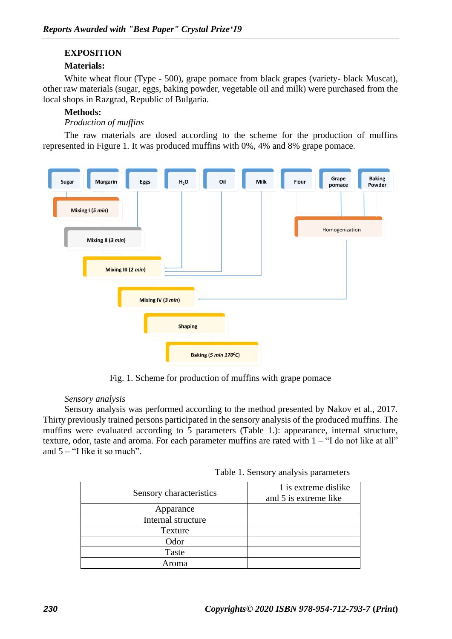## **EXPOSITION**

### **Materials:**

White wheat flour (Type - 500), grape pomace from black grapes (variety- black Muscat), other raw materials (sugar, eggs, baking powder, vegetable oil and milk) were purchased from the local shops in Razgrad, Republic of Bulgaria.

### **Methods:**

### *Production of muffins*

The raw materials are dosed according to the scheme for the production of muffins represented in Figure 1. It was produced muffins with 0%, 4% and 8% grape pomace.



Fig. 1. Scheme for production of muffins with grape pomace

### *Sensory analysis*

Sensory analysis was performed according to the method presented by Nakov et al., 2017. Thirty previously trained persons participated in the sensory analysis of the produced muffins. The muffins were evaluated according to 5 parameters (Table 1.): appearance, internal structure, texture, odor, taste and aroma. For each parameter muffins are rated with 1 – "I do not like at all" and  $5 -$  "I like it so much".

Table 1. Sensory analysis parameters

| Sensory characteristics | 1 is extreme dislike<br>and 5 is extreme like |
|-------------------------|-----------------------------------------------|
| Apparance               |                                               |
| Internal structure      |                                               |
| Texture                 |                                               |
| Odor                    |                                               |
| Taste                   |                                               |
| roma                    |                                               |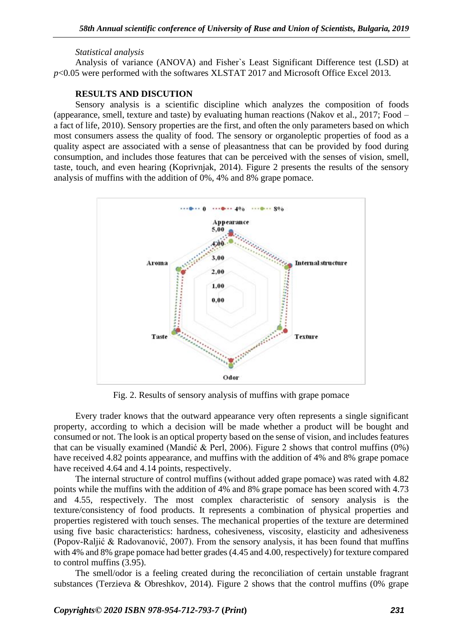#### *Statistical analysis*

Analysis of variance (ANOVA) and Fisher`s Least Significant Difference test (LSD) at *p*<0.05 were performed with the softwares XLSTAT 2017 and Microsoft Office Excel 2013.

### **RESULTS AND DISCUTION**

Sensory analysis is a scientific discipline which analyzes the composition of foods (appearance, smell, texture and taste) by evaluating human reactions (Nakov et al., 2017; Food – a fact of life, 2010). Sensory properties are the first, and often the only parameters based on which most consumers assess the quality of food. The sensory or organoleptic properties of food as a quality aspect are associated with a sense of pleasantness that can be provided by food during consumption, and includes those features that can be perceived with the senses of vision, smell, taste, touch, and even hearing (Koprivnjak, 2014). Figure 2 presents the results of the sensory analysis of muffins with the addition of 0%, 4% and 8% grape pomace.



Fig. 2. Results of sensory analysis of muffins with grape pomace

Every trader knows that the outward appearance very often represents a single significant property, according to which a decision will be made whether a product will be bought and consumed or not. The look is an optical property based on the sense of vision, and includes features that can be visually examined (Mandić & Perl, 2006). Figure 2 shows that control muffins  $(0\%)$ have received 4.82 points appearance, and muffins with the addition of 4% and 8% grape pomace have received 4.64 and 4.14 points, respectively.

The internal structure of control muffins (without added grape pomace) was rated with 4.82 points while the muffins with the addition of 4% and 8% grape pomace has been scored with 4.73 and 4.55, respectively. The most complex characteristic of sensory analysis is the texture/consistency of food products. It represents a combination of physical properties and properties registered with touch senses. The mechanical properties of the texture are determined using five basic characteristics: hardness, cohesiveness, viscosity, elasticity and adhesiveness (Popov-Raljić & Radovanović, 2007). From the sensory analysis, it has been found that muffins with 4% and 8% grape pomace had better grades (4.45 and 4.00, respectively) for texture compared to control muffins (3.95).

The smell/odor is a feeling created during the reconciliation of certain unstable fragrant substances (Terzieva & Obreshkov, 2014). Figure 2 shows that the control muffins (0% grape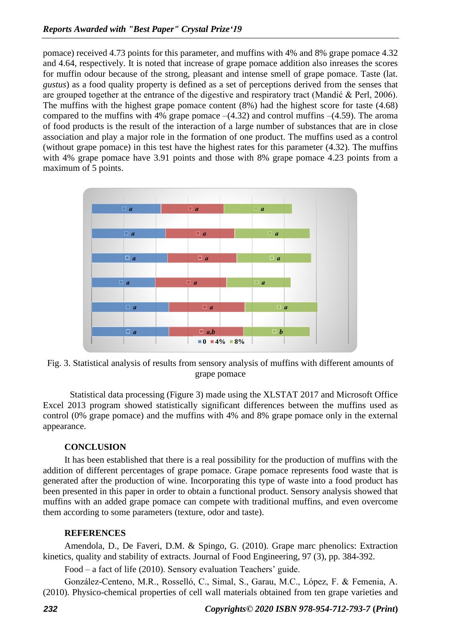pomace) received 4.73 points for this parameter, and muffins with 4% and 8% grape pomace 4.32 and 4.64, respectively. It is noted that increase of grape pomace addition also inreases the scores for muffin odour because of the strong, pleasant and intense smell of grape pomace. Taste (lat. *gustus*) as a food quality property is defined as a set of perceptions derived from the senses that are grouped together at the entrance of the digestive and respiratory tract (Mandić & Perl, 2006). The muffins with the highest grape pomace content (8%) had the highest score for taste (4.68) compared to the muffins with 4% grape pomace  $-(4.32)$  and control muffins  $-(4.59)$ . The aroma of food products is the result of the interaction of a large number of substances that are in close association and play a major role in the formation of one product. The muffins used as a control (without grape pomace) in this test have the highest rates for this parameter (4.32). The muffins with 4% grape pomace have 3.91 points and those with 8% grape pomace 4.23 points from a maximum of 5 points.



Fig. 3. Statistical analysis of results from sensory analysis of muffins with different amounts of grape pomace

Statistical data processing (Figure 3) made using the XLSTAT 2017 and Microsoft Office Excel 2013 program showed statistically significant differences between the muffins used as control (0% grape pomace) and the muffins with 4% and 8% grape pomace only in the external appearance.

### **CONCLUSION**

It has been established that there is a real possibility for the production of muffins with the addition of different percentages of grape pomace. Grape pomace represents food waste that is generated after the production of wine. Incorporating this type of waste into a food product has been presented in this paper in order to obtain a functional product. Sensory analysis showed that muffins with an added grape pomace can compete with traditional muffins, and even overcome them according to some parameters (texture, odor and taste).

### **REFERENCES**

Amendola, D., De Faveri, D.M. & Spingo, G. (2010). Grape marc phenolics: Extraction kinetics, quality and stability of extracts. Journal of Food Engineering, 97 (3), pp. 384-392.

Food – a fact of life (2010). Sensory evaluation Teachers' guide.

González-Centeno, M.R., Rosselló, C., Simal, S., Garau, M.C., López, F. & Femenia, A. (2010). Physico-chemical properties of cell wall materials obtained from ten grape varieties and